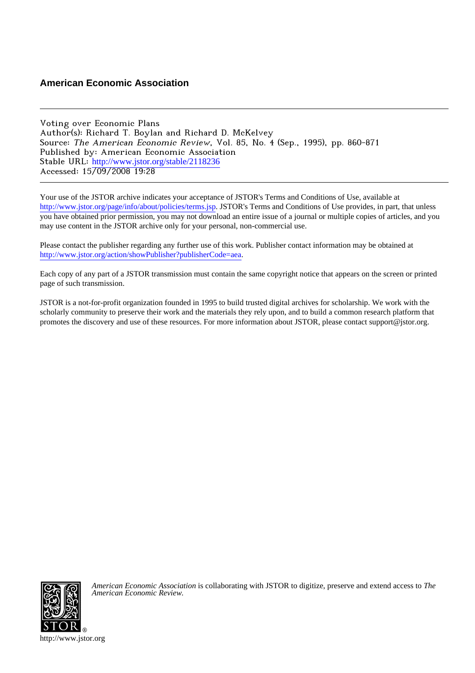# **American Economic Association**

Voting over Economic Plans Author(s): Richard T. Boylan and Richard D. McKelvey Source: The American Economic Review, Vol. 85, No. 4 (Sep., 1995), pp. 860-871 Published by: American Economic Association Stable URL: [http://www.jstor.org/stable/2118236](http://www.jstor.org/stable/2118236?origin=JSTOR-pdf) Accessed: 15/09/2008 19:28

Your use of the JSTOR archive indicates your acceptance of JSTOR's Terms and Conditions of Use, available at <http://www.jstor.org/page/info/about/policies/terms.jsp>. JSTOR's Terms and Conditions of Use provides, in part, that unless you have obtained prior permission, you may not download an entire issue of a journal or multiple copies of articles, and you may use content in the JSTOR archive only for your personal, non-commercial use.

Please contact the publisher regarding any further use of this work. Publisher contact information may be obtained at <http://www.jstor.org/action/showPublisher?publisherCode=aea>.

Each copy of any part of a JSTOR transmission must contain the same copyright notice that appears on the screen or printed page of such transmission.

JSTOR is a not-for-profit organization founded in 1995 to build trusted digital archives for scholarship. We work with the scholarly community to preserve their work and the materials they rely upon, and to build a common research platform that promotes the discovery and use of these resources. For more information about JSTOR, please contact support@jstor.org.



*American Economic Association* is collaborating with JSTOR to digitize, preserve and extend access to *The American Economic Review.*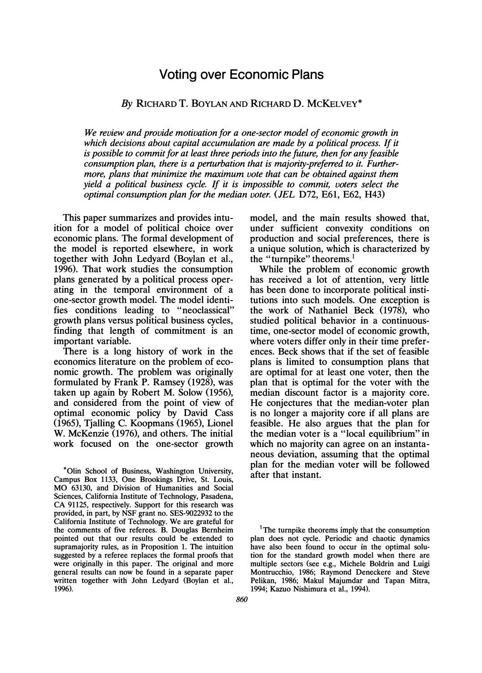# **Voting over Economic Plans**

# **By RICHARD T. BOYLAN AND RICHARD D. MCKELVEY\***

**We review and provide motivation for a one-sector model of economic growth in which decisions about capital accumulation are made by a political process. If it is possible to commit for at least three periods into the future, then for any feasible consumption plan, there is a perturbation that is majority-preferred to it. Furthermore, plans that minimize the maximum vote that can be obtained against them yield a political business cycle. If it is impossible to commit, voters select the optimal consumption plan for the median voter. (JEL D72, E61, E62, H43)** 

**This paper summarizes and provides intuition for a model of political choice over economic plans. The formal development of the model is reported elsewhere, in work together with John Ledyard (Boylan et al., 1996). That work studies the consumption plans generated by a political process operating in the temporal environment of a one-sector growth model. The model identifies conditions leading to "neoclassical" growth plans versus political business cycles, finding that length of commitment is an important variable.** 

**There is a long history of work in the economics literature on the problem of economic growth. The problem was originally formulated by Frank P. Ramsey (1928), was taken up again by Robert M. Solow (1956), and considered from the point of view of optimal economic policy by David Cass (1965), Tjalling C. Koopmans (1965), Lionel W. McKenzie (1976), and others. The initial work focused on the one-sector growth** 

**after that instant. \*Olin School of Business, Washington University, Campus Box 1133, One Brookings Drive, St. Louis, MO 63130, and Division of Humanities and Social Sciences, California Institute of Technology, Pasadena, CA 91125, respectively. Support for this research was provided, in part, by NSF grant no. SES-9022932 to the California Institute of Technology. We are grateful for the comments of five referees. B. Douglas Bernheim pointed out that our results could be extended to supramajority rules, as in Proposition 1. The intuition suggested by a referee replaces the formal proofs that were originally in this paper. The original and more general results can now be found in a separate paper written together with John Ledyard (Boylan et al., 1996).** 

**model, and the main results showed that, under sufficient convexity conditions on production and social preferences, there is a unique solution, which is characterized by the "turnpike" theorems.1** 

**While the problem of economic growth has received a lot of attention, very little has been done to incorporate political institutions into such models. One exception is the work of Nathaniel Beck (1978), who studied political behavior in a continuoustime, one-sector model of economic growth, where voters differ only in their time preferences. Beck shows that if the set of feasible plans is limited to consumption plans that are optimal for at least one voter, then the plan that is optimal for the voter with the**  median discount factor is a majority core. **He conjectures that the median-voter plan is no longer a majority core if all plans are feasible. He also argues that the plan for the median voter is a "local equilibrium" in which no majority can agree on an instantaneous deviation, assuming that the optimal plan for the median voter will be followed** 

**1The turnpike theorems imply that the consumption plan does not cycle. Periodic and chaotic dynamics have also been found to occur in the optimal solution for the standard growth model when there are multiple sectors (see e.g., Michele Boldrin and Luigi Montrucchio, 1986; Raymond Deneckere and Steve Pelikan, 1986; Makul Majumdar and Tapan Mitra, 1994; Kazuo Nishimura et al., 1994).**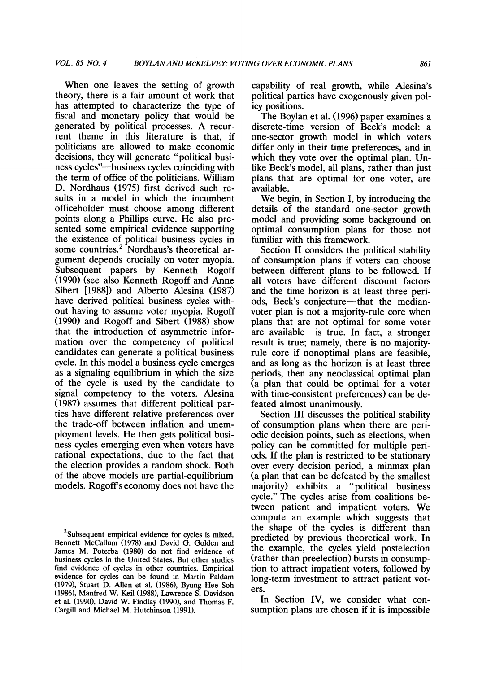**When one leaves the setting of growth theory, there is a fair amount of work that has attempted to characterize the type of fiscal and monetary policy that would be generated by political processes. A recurrent theme in this literature is that, if politicians are allowed to make economic decisions, they will generate "political business cycles"-business cycles coinciding with the term of office of the politicians. William D. Nordhaus (1975) first derived such results in a model in which the incumbent officeholder must choose among different points along a Phillips curve. He also presented some empirical evidence supporting the existence of political business cycles in some countries.2 Nordhaus's theoretical argument depends crucially on voter myopia. Subsequent papers by Kenneth Rogoff (1990) (see also Kenneth Rogoff and Anne Sibert [1988]) and Alberto Alesina (1987) have derived political business cycles without having to assume voter myopia. Rogoff (1990) and Rogoff and Sibert (1988) show that the introduction of asymmetric information over the competency of political candidates can generate a political business cycle. In this model a business cycle emerges as a signaling equilibrium in which the size of the cycle is used by the candidate to signal competency to the voters. Alesina (1987) assumes that different political parties have different relative preferences over the trade-off between inflation and unemployment levels. He then gets political business cycles emerging even when voters have rational expectations, due to the fact that** 

**the election provides a random shock. Both of the above models are partial-equilibrium models. Rogoffs economy does not have the** 

**capability of real growth, while Alesina's political parties have exogenously given policy positions.** 

**The Boylan et al. (1996) paper examines a discrete-time version of Beck's model: a one-sector growth model in which voters differ only in their time preferences, and in which they vote over the optimal plan. Unlike Beck's model, all plans, rather than just plans that are optimal for one voter, are available.** 

**We begin, in Section I, by introducing the details of the standard one-sector growth model and providing some background on optimal consumption plans for those not familiar with this framework.** 

**Section II considers the political stability of consumption plans if voters can choose between different plans to be followed. If all voters have different discount factors and the time horizon is at least three peri**ods, Beck's conjecture—that the median**voter plan is not a majority-rule core when plans that are not optimal for some voter are available-is true. In fact, a stronger result is true; namely, there is no majorityrule core if nonoptimal plans are feasible, and as long as the horizon is at least three periods, then any neoclassical optimal plan (a plan that could be optimal for a voter with time-consistent preferences) can be defeated almost unanimously.** 

**Section III discusses the political stability of consumption plans when there are periodic decision points, such as elections, when policy can be committed for multiple periods. If the plan is restricted to be stationary over every decision period, a minmax plan (a plan that can be defeated by the smallest majority) exhibits a "political business cycle." The cycles arise from coalitions between patient and impatient voters. We compute an example which suggests that the shape of the cycles is different than predicted by previous theoretical work. In the example, the cycles yield postelection (rather than preelection) bursts in consumption to attract impatient voters, followed by long-term investment to attract patient voters.** 

**In Section IV, we consider what consumption plans are chosen if it is impossible** 

**<sup>2</sup>Subsequent empirical evidence for cycles is mixed. Bennett McCallum (1978) and David G. Golden and James M. Poterba (1980) do not find evidence of business cycles in the United States. But other studies find evidence of cycles in other countries. Empirical evidence for cycles can be found in Martin Paldam (1979), Stuart D. Allen et al. (1986), Byung Hee Soh (1986), Manfred W. Keil (1988), Lawrence S. Davidson et al. (1990), David W. Findlay (1990), and Thomas F. Cargill and Michael M. Hutchinson (1991).**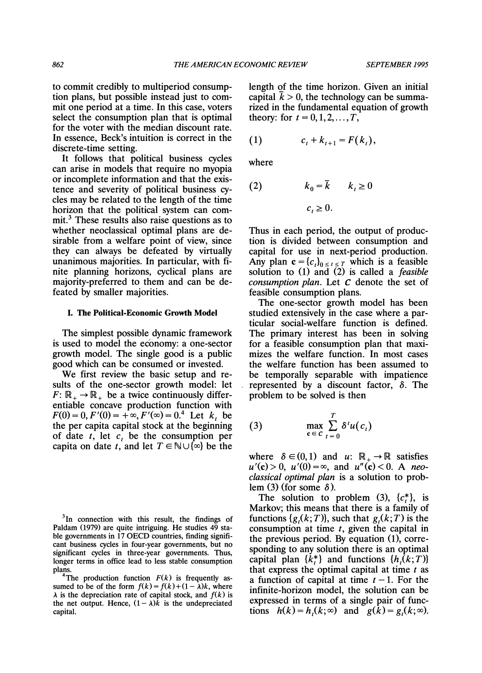**to commit credibly to multiperiod consumption plans, but possible instead just to commit one period at a time. In this case, voters select the consumption plan that is optimal for the voter with the median discount rate. In essence, Beck's intuition is correct in the discrete-time setting.** 

**It follows that political business cycles can arise in models that require no myopia or incomplete information and that the existence and severity of political business cycles may be related to the length of the time horizon that the political system can commit.3 These results also raise questions as to whether neoclassical optimal plans are desirable from a welfare point of view, since they can always be defeated by virtually unanimous majorities. In particular, with finite planning horizons, cyclical plans are majority-preferred to them and can be defeated by smaller majorities.** 

### **I. The Political-Economic Growth Model**

**The simplest possible dynamic framework is used to model the economy: a one-sector growth model. The single good is a public good which can be consumed or invested.** 

**We first review the basic setup and results of the one-sector growth model: let**   $F: \mathbb{R}_+ \to \mathbb{R}_+$  be a twice continuously differ**entiable concave production function with**   $F(0) = 0, F'(0) = +\infty, F'(\infty) = 0.4$  Let  $k_t$  be **the per capita capital stock at the beginning**  of date  $t$ , let  $c_t$  be the consumption per **capita on date** *t***, and let**  $T \in \mathbb{N} \cup \{\infty\}$  **be the** 

**3In connection with this result, the findings of Paldam (1979) are quite intriguing. He studies 49 stable governments in 17 OECD countries, finding significant business cycles in four-year governments, but no significant cycles in three-year governments. Thus, longer terms in office lead to less stable consumption plans.** 

<sup>4</sup>The production function  $F(k)$  is frequently assumed to be of the form  $f(k) = f(k) + (1 - \lambda)k$ , where  $\lambda$  is the depreciation rate of capital stock, and  $f(k)$  is the net output. Hence,  $(1 - \lambda)k$  is the undepreciated **capital.** 

**length of the time horizon. Given an initial**  capital  $\vec{k} > 0$ , the technology can be summa**rized in the fundamental equation of growth**  theory: for  $t = 0, 1, 2, ..., T$ ,

$$
(1) \hspace{1cm} c_t + k_{t+1} = F(k_t),
$$

**where** 

$$
(2) \t k_0 = \bar{k} \t k_t \ge 0
$$

$$
c_t\geq 0.
$$

**Thus in each period, the output of production is divided between consumption and capital for use in next-period production.**  Any plan  $\mathbf{c} = \{c_i\}_{0 \leq t \leq T}$  which is a feasible **solution to (1) and (2) is called a feasible consumption plan. Let C denote the set of feasible consumption plans.** 

**The one-sector growth model has been studied extensively in the case where a particular social-welfare function is defined. The primary interest has been in solving for a feasible consumption plan that maximizes the welfare function. In most cases the welfare function has been assumed to be temporally separable with impatience**  represented by a discount factor,  $\delta$ . The **problem to be solved is then** 

(3) 
$$
\max_{\mathbf{c} \in \mathcal{C}} \sum_{t=0}^{T} \delta^t u(c_t)
$$

where  $\delta \in (0,1)$  and  $\mathbf{u}: \mathbb{R}_+ \to \mathbb{R}$  satisfies  $u'(\mathbf{c}) > 0$ ,  $u'(0) = \infty$ , and  $u''(\mathbf{c}) < 0$ . A neo**classical optimal plan is a solution to prob**lem (3) (for some  $\delta$ ).

The solution to problem  $(3)$ ,  $\{c_i^*\}$ , is **Markov; this means that there is a family of**  functions  $\{g_i(k; T)\}\)$ , such that  $g_i(k; T)$  is the **consumption at time t, given the capital in the previous period. By equation (1), corresponding to any solution there is an optimal**  capital plan  $\{k_i^*\}$  and functions  $\{h_i(k;T)\}$ **that express the optimal capital at time t as**  a function of capital at time  $t - 1$ . For the **infinite-horizon model, the solution can be expressed in terms of a single pair of functions**  $h(k) = h(t;\infty)$  and  $g(k) = g(t;\infty)$ .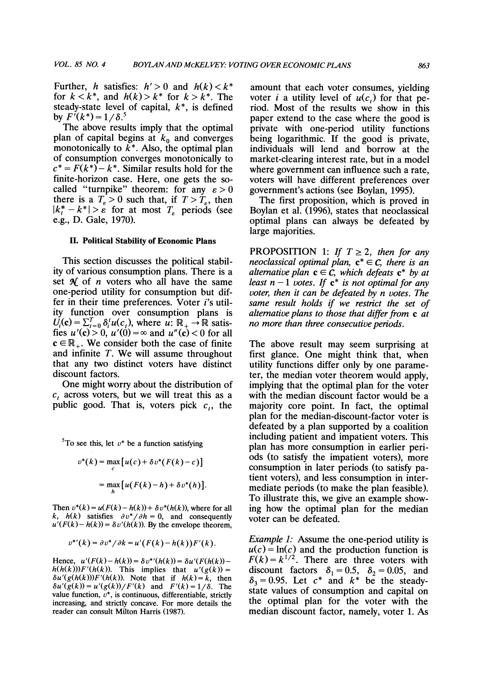Further, h satisfies:  $h' > 0$  and  $h(k) < k^*$ for  $k < k^*$ , and  $h(k) > k^*$  for  $k > k^*$ . The **steady-state level of capital, k\*, is defined**   $\mathbf{b} \mathbf{v} \ \mathbf{F}'(k^*) = 1/\delta$ <sup>5</sup>

**The above results imply that the optimal**  plan of capital begins at  $k_0$  and converges **monotonically to k\*. Also, the optimal plan of consumption converges monotonically to**   $c^* = F(k^*) - k^*$ . Similar results hold for the **finite-horizon case. Here, one gets the so**called "turnpike" theorem: for any  $\varepsilon > 0$ there is a  $T_e > 0$  such that, if  $T > T_e$ , then  $|k_t^* - k^*| > \varepsilon$  for at most  $T_{\varepsilon}$  periods (see **e.g., D. Gale, 1970).** 

# **II. Political Stability of Economic Plans**

**This section discusses the political stability of various consumption plans. There is a**  set  $\mathcal{N}$  of *n* voters who all have the same **one-period utility for consumption but dif**fer in their time preferences. Voter *i*'s util**ity function over consumption plans is**   $\vec{U}_i(\mathbf{c}) = \sum_{t=0}^T \delta_i^t u(c_t)$ , where  $\vec{u}: \mathbb{R}_+ \to \mathbb{R}$  satis**fies**  $u'(\mathbf{c}) > 0$ ,  $u'(0) = \infty$  and  $u''(\mathbf{c}) < 0$  for all  $c \in \mathbb{R}_+$ . We consider both the case of finite **and infinite T. We will assume throughout that any two distinct voters have distinct discount factors.** 

**One might worry about the distribution of**   $c<sub>t</sub>$  across voters, but we will treat this as a public good. That is, voters pick  $c_t$ , the

 ${}^{5}$ To see this, let  $v^*$  be a function satisfying

$$
v^*(k) = \max_c [u(c) + \delta v^*(F(k) - c)]
$$
  
= 
$$
\max_h [u(F(k) - h) + \delta v^*(h)].
$$

Then  $v^*(k) = u(F(k) - h(k)) + \delta v^*(h(k))$ , where for all *k*,  $h(k)$  satisfies  $\partial v^*/\partial h = 0$ , and consequently  $u'(F(k) - h(k)) = \delta v'(h(k))$ . By the envelope theorem,

$$
v^{\ast\prime}(k)=\partial v^{\ast}/\partial k=u^{\prime}(F(k)-h(k))F^{\prime}(k).
$$

**Hence,**  $u'(F(k) - h(k)) = \delta v^*(h(k)) = \delta u'(F(h(k)))$  $h(h(k))F'(h(k))$ . This implies that  $u'(g(k))=$  $\delta u'(g(h(k)))F'(h(k))$ . Note that if  $h(k) = k$ , then  $\delta u'(g(k)) = u'(g(k))/F'(k)$  and  $F'(k) = 1/\delta$ . The **value function, v\*, is continuous, differentiable, strictly increasing, and strictly concave. For more details the reader can consult Milton Harris (1987).** 

**amount that each voter consumes, yielding**  voter *i* a utility level of  $u(c_i)$  for that pe**riod. Most of the results we show in this paper extend to the case where the good is private with one-period utility functions being logarithmic. If the good is private, individuals will lend and borrow at the market-clearing interest rate, but in a model where government can influence such a rate, voters will have different preferences over government's actions (see Boylan, 1995).** 

**The first proposition, which is proved in Boylan et al. (1996), states that neoclassical optimal plans can always be defeated by large majorities.** 

**PROPOSITION** 1: If  $T \geq 2$ , then for any **neoclassical optimal plan,**  $c^* \in C$ **, there is an alternative plan**  $c \in C$ **, which defeats**  $c^*$  **by at** least  $n-1$  votes. If  $c^*$  is not optimal for any **voter, then it can be defeated by n votes. The same result holds if we restrict the set of alternative plans to those that differ from c at no more than three consecutive periods.** 

**The above result may seem surprising at first glance. One might think that, when utility functions differ only by one parameter, the median voter theorem would apply, implying that the optimal plan for the voter with the median discount factor would be a majority core point. In fact, the optimal plan for the median-discount-factor voter is defeated by a plan supported by a coalition including patient and impatient voters. This plan has more consumption in earlier periods (to satisfy the impatient voters), more consumption in later periods (to satisfy patient voters), and less consumption in intermediate periods (to make the plan feasible). To illustrate this, we give an example showing how the optimal plan for the median voter can be defeated.** 

**Example 1: Assume the one-period utility is**   $u(c) = \ln(c)$  and the production function is  $F(k) = k^{1/2}$ . There are three voters with discount factors  $\delta_1 = 0.5$ ,  $\delta_2 = 0.05$ , and  $\delta_3 = 0.95$ . Let  $c^*$  and  $k^*$  be the steady**state values of consumption and capital on the optimal plan for the voter with the median discount factor, namely, voter 1. As**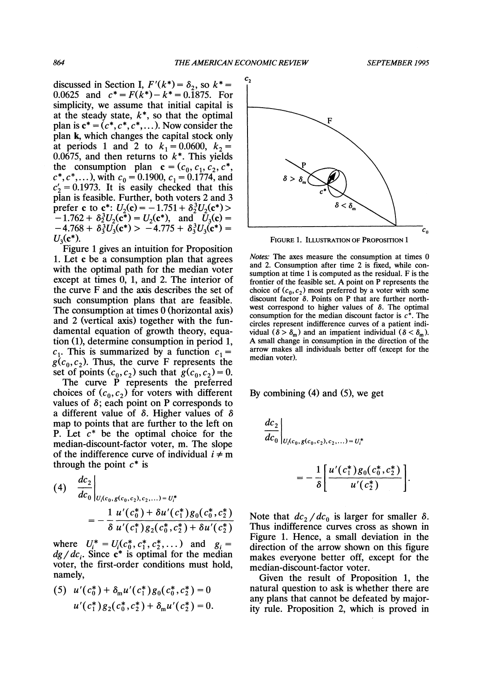discussed in Section I,  $F'(k^*) = \delta_2$ , so  $k^* =$ 0.0625 and  $c^* = F(k^*) - k^* = 0.1875$ . For **simplicity, we assume that initial capital is at the steady state, k\*, so that the optimal**  plan is  $c^* = (c^*, c^*, \dots)$ . Now consider the **plan k, which changes the capital stock only**  at periods 1 and 2 to  $k_1 = 0.0600$ ,  $k_2 =$ 0.0675, and then returns to  $k^*$ . This yields the consumption plan  $c = (c_0, c_1, c_2, c^*)$  $c^*, c^*, \ldots$ , with  $c_0 = 0.1900$ ,  $c_1 = 0.1774$ , and  $c'_2 = 0.1973$ . It is easily checked that this **plan is feasible. Further, both voters 2 and 3 prefer c to c\*:**  $U_2(c) = -1.751 + \delta_2^3 U_2(c^*)$  $\bar{U}_1(-1.762 + \delta_2^3 U_2(\mathbf{c}^*) = U_2(\mathbf{c}^*)$ , and  $\bar{U}_3(\mathbf{c}) =$  $-4.768 + \delta_3^3 \overline{U_3}(\mathbf{c}^*) > -4.775 + \delta_3^3 \overline{U_3}(\mathbf{c}^*) =$  $U_3(c^*)$ .

**Figure 1 gives an intuition for Proposition 1. Let c be a consumption plan that agrees with the optimal path for the median voter except at times 0, 1, and 2. The interior of the curve F and the axis describes the set of such consumption plans that are feasible. The consumption at times 0 (horizontal axis) and 2 (vertical axis) together with the fundamental equation of growth theory, equation (1), determine consumption in period 1,**   $c_1$ . This is summarized by a function  $c_1 =$  $g(c_0, c_2)$ . Thus, the curve F represents the **set of points**  $(c_0, c_2)$  such that  $g(c_0, c_2) = 0$ .

**The curve P represents the preferred**  choices of  $(c_0, c_2)$  for voters with different **values of 6; each point on P corresponds to a different value of 6. Higher values of 8 map to points that are further to the left on P. Let c\* be the optimal choice for the median-discount-factor voter, m. The slope**  of the indifference curve of individual  $i \neq m$ through the point  $c^*$  is

$$
(4) \frac{dc_2}{dc_0}\Big|_{U_i(c_0, g(c_0, c_2), c_2, \ldots) = U_i^*}
$$
  
= 
$$
-\frac{1}{\delta} \frac{u'(c_0^*) + \delta u'(c_1^*) g_0(c_0^*, c_2^*)}{u'(c_1^*) g_2(c_0^*, c_2^*) + \delta u'(c_2^*)}
$$

where  $U_i^* = U_i(c_0^*, c_1^*, c_2^*, \dots)$  and  $g_i =$ **dg/dci. Since c\* is optimal for the median voter, the first-order conditions must hold, namely,** 

(5) 
$$
u'(c_0^*) + \delta_m u'(c_1^*) g_0(c_0^*, c_2^*) = 0
$$
  
\n $u'(c_1^*) g_2(c_0^*, c_2^*) + \delta_m u'(c_2^*) = 0.$ 



**FIGURE 1. ILLUSTRATION OF PROPOSITION 1** 

**Notes: The axes measure the consumption at times 0 and 2. Consumption after time 2 is fixed, while consumption at time 1 is computed as the residual. F is the frontier of the feasible set. A point on P represents the**  choice of  $(c_0, c_2)$  most preferred by a voter with some discount factor  $\delta$ . Points on P that are further northwest correspond to higher values of  $\delta$ . The optimal **consumption for the median discount factor is c\*. The circles represent indifference curves of a patient individual**  $(\delta > \delta_m)$  and an impatient individual  $(\delta < \delta_m)$ . **A small change in consumption in the direction of the arrow makes all individuals better off (except for the median voter).** 

**By combining (4) and (5), we get** 

$$
\left. \frac{dc_2}{dc_0} \right|_{U_i(c_0, g(c_0, c_2), c_2, \ldots) = U_i^*}
$$

$$
=-\frac{1}{\delta}\bigg[\frac{u'(c_1^*)g_0(c_0^*,c_2^*)}{u'(c_2^*)}\bigg].
$$

Note that  $dc_2$  /  $dc_0$  is larger for smaller  $\delta$ . **Thus indifference curves cross as shown in Figure 1. Hence, a small deviation in the direction of the arrow shown on this figure makes everyone better off, except for the median-discount-factor voter.** 

**Given the result of Proposition 1, the natural question to ask is whether there are any plans that cannot be defeated by majority rule. Proposition 2, which is proved in**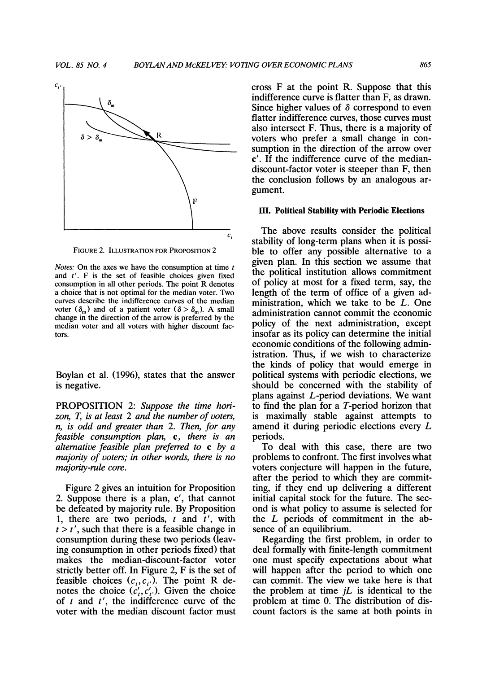

**FIGURE 2. ILLUSTRATION FOR PROPOSITION 2** 

**Notes: On the axes we have the consumption at time t and t'. F is the set of feasible choices given fixed consumption in all other periods. The point R denotes a choice that is not optimal for the median voter. Two curves describe the indifference curves of the median**  voter  $(\delta_m)$  and of a patient voter  $(\delta > \delta_m)$ . A small **change in the direction of the arrow is preferred by the median voter and all voters with higher discount factors.** 

**Boylan et al. (1996), states that the answer is negative.** 

**PROPOSITION 2: Suppose the time horizon, T, is at least 2 and the number of voters, n, is odd and greater than 2. Then, for any feasible consumption plan, c, there is an alternative feasible plan preferred to c by a majority of voters; in other words, there is no majority-rule core.** 

**Figure 2 gives an intuition for Proposition 2. Suppose there is a plan, c', that cannot be defeated by majority rule. By Proposition 1, there are two periods, t and t', with**   $t > t'$ , such that there is a feasible change in **consumption during these two periods (leaving consumption in other periods fixed) that makes the median-discount-factor voter strictly better off. In Figure 2, F is the set of feasible choices**  $(c_t, c_t)$ . The point R denotes the choice  $(c'_t, c'_t)$ . Given the choice **of t and t', the indifference curve of the voter with the median discount factor must**  **cross F at the point R. Suppose that this indifference curve is flatter than F, as drawn.**  Since higher values of  $\delta$  correspond to even **flatter indifference curves, those curves must also intersect F. Thus, there is a majority of voters who prefer a small change in consumption in the direction of the arrow over c'. If the indifference curve of the mediandiscount-factor voter is steeper than F, then the conclusion follows by an analogous argument.** 

#### **III. Political Stability with Periodic Elections**

**The above results consider the political stability of long-term plans when it is possible to offer any possible alternative to a given plan. In this section we assume that the political institution allows commitment of policy at most for a fixed term, say, the length of the term of office of a given administration, which we take to be L. One administration cannot commit the economic policy of the next administration, except insofar as its policy can determine the initial economic conditions of the following administration. Thus, if we wish to characterize the kinds of policy that would emerge in political systems with periodic elections, we should be concerned with the stability of plans against L-period deviations. We want to find the plan for a T-period horizon that is maximally stable against attempts to amend it during periodic elections every L periods.** 

**To deal with this case, there are two problems to confront. The first involves what voters conjecture will happen in the future, after the period to which they are committing, if they end up delivering a different initial capital stock for the future. The second is what policy to assume is selected for the L periods of commitment in the absence of an equilibrium.** 

**Regarding the first problem, in order to deal formally with finite-length commitment one must specify expectations about what will happen after the period to which one can commit. The view we take here is that the problem at time jL is identical to the problem at time 0. The distribution of discount factors is the same at both points in**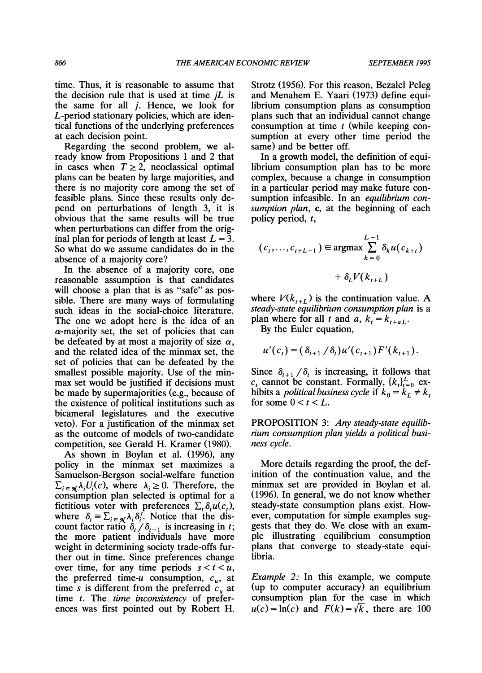**time. Thus, it is reasonable to assume that the decision rule that is used at time jL is the same for all j. Hence, we look for L-period stationary policies, which are identical functions of the underlying preferences at each decision point.** 

**Regarding the second problem, we already know from Propositions 1 and 2 that**  in cases when  $T \geq 2$ , neoclassical optimal **plans can be beaten by large majorities, and there is no majority core among the set of feasible plans. Since these results only depend on perturbations of length 3, it is obvious that the same results will be true when perturbations can differ from the orig**inal plan for periods of length at least  $L = 3$ . **So what do we assume candidates do in the absence of a majority core?** 

**In the absence of a majority core, one reasonable assumption is that candidates will choose a plan that is as "safe" as possible. There are many ways of formulating such ideas in the social-choice literature. The one we adopt here is the idea of an a-majority set, the set of policies that can**  be defeated by at most a majority of size  $\alpha$ , **and the related idea of the minmax set, the set of policies that can be defeated by the smallest possible majority. Use of the minmax set would be justified if decisions must be made by supermajorities (e.g., because of the existence of political institutions such as bicameral legislatures and the executive veto). For a justification of the minmax set as the outcome of models of two-candidate competition, see Gerald H. Kramer (1980).** 

**As shown in Boylan et al. (1996), any policy in the minmax set maximizes a Samuelson-Bergson social-welfare function**   $\sum_{i \in \mathcal{N}} \lambda_i U_i(c)$ , where  $\lambda_i \geq 0$ . Therefore, the **consumption plan selected is optimal for a fictitious voter with preferences**  $\sum_i \delta_i u(c_i)$ where  $\delta_t = \sum_{i \in \mathcal{N}} \lambda_i \delta_i^t$ . Notice that the dis**count factor ratio**  $\delta_t / \delta_{t-1}$  is increasing in *t*; **the more patient individuals have more weight in determining society trade-offs further out in time. Since preferences change**  over time, for any time periods  $s < t < u$ , the preferred time- $u$  consumption,  $c_u$ , at time s is different from the preferred  $c<sub>u</sub>$  at **time t. The time inconsistency of preferences was first pointed out by Robert H.** 

**Strotz (1956). For this reason, Bezalel Peleg and Menahem E. Yaari (1973) define equilibrium consumption plans as consumption plans such that an individual cannot change consumption at time t (while keeping consumption at every other time period the same) and be better off.** 

**In a growth model, the definition of equilibrium consumption plan has to be more complex, because a change in consumption in a particular period may make future consumption infeasible. In an equilibrium consumption plan, c, at the beginning of each policy period, t,** 

$$
(c_t, \dots, c_{t+L-1}) \in \underset{k=0}{\text{argmax}} \sum_{k=0}^{L-1} \delta_k u(c_{k+t})
$$

$$
+ \delta_L V(k_{t+L})
$$

where  $V(k_{t+L})$  is the continuation value. A **steady-state equilibrium consumption plan is a plan where for all t** and  $a, k_t = k_{t+at}$ .

**By the Euler equation,** 

$$
u'(c_t) = (\delta_{t+1} / \delta_t) u'(c_{t+1}) F'(k_{t+1}).
$$

Since  $\delta_{t+1} / \delta_t$  is increasing, it follows that  $c_t$  cannot be constant. Formally,  $\{k_t\}_{t=0}^L$  ex**hibits a** *political business cycle* **if**  $k_0 = k_L \neq k_t$ for some  $0 < t < L$ .

**PROPOSITION 3: Any steady-state equilibrium consumption plan yields a political business cycle.** 

**More details regarding the proof, the definition of the continuation value, and the minmax set are provided in Boylan et al. (1996). In general, we do not know whether steady-state consumption plans exist. However, computation for simple examples suggests that they do. We close with an example illustrating equilibrium consumption plans that converge to steady-state equilibria.** 

**Example 2: In this example, we compute (up to computer accuracy) an equilibrium consumption plan for the case in which**   $u(c) = \ln(c)$  and  $F(k) = \sqrt{k}$ , there are 100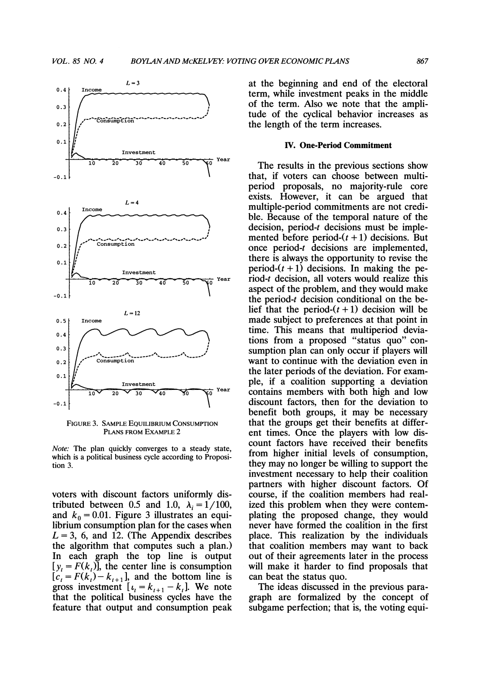

**FIGURE 3. SAMPLE EQUILIBRIUM CONSUMPTION PLANS FROM EXAMPLE 2** 

**Note: The plan quickly converges to a steady state, which is a political business cycle according to Proposition 3.** 

**voters with discount factors uniformly distributed between 0.5 and 1.0,**  $\lambda_i = 1/100$ **,** and  $k_0 = 0.01$ . Figure 3 illustrates an equi**librium consumption plan for the cases when L = 3, 6, and 12. (The Appendix describes the algorithm that computes such a plan.) In each graph the top line is output**   $[y_t = F(k_t)]$ , the center line is consumption  $[c<sub>t</sub> = F(k<sub>t</sub>) - k<sub>t+1</sub>]$ , and the bottom line is gross investment  $\begin{bmatrix} \n u_t = k_{t+1} - k_t \n \end{bmatrix}$ . We note **that the political business cycles have the feature that output and consumption peak**  **at the beginning and end of the electoral term, while investment peaks in the middle of the term. Also we note that the amplitude of the cyclical behavior increases as the length of the term increases.** 

## **IV. One-Period Commitment**

**The results in the previous sections show that, if voters can choose between multiperiod proposals, no majority-rule core exists. However, it can be argued that multiple-period commitments are not credible. Because of the temporal nature of the decision, period-t decisions must be imple**mented before period- $(t + 1)$  decisions. But **once period-t decisions are implemented, there is always the opportunity to revise the**  period- $(t + 1)$  decisions. In making the pe**riod-t decision, all voters would realize this aspect of the problem, and they would make the period-t decision conditional on the be**lief that the period- $(t + 1)$  decision will be **made subject to preferences at that point in time. This means that multiperiod deviations from a proposed "status quo" consumption plan can only occur if players will want to continue with the deviation even in the later periods of the deviation. For example, if a coalition supporting a deviation contains members with both high and low discount factors, then for the deviation to benefit both groups, it may be necessary that the groups get their benefits at different times. Once the players with low discount factors have received their benefits from higher initial levels of consumption, they may no longer be willing to support the investment necessary to help their coalition partners with higher discount factors. Of course, if the coalition members had realized this problem when they were contemplating the proposed change, they would never have formed the coalition in the first place. This realization by the individuals that coalition members may want to back out of their agreements later in the process will make it harder to find proposals that can beat the status quo.** 

**The ideas discussed in the previous paragraph are formalized by the concept of subgame perfection; that is, the voting equi-**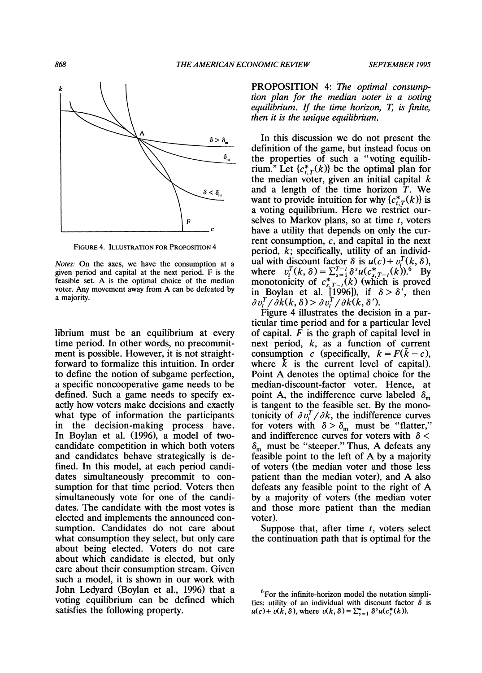

**FIGURE 4. ILLUSTRATION FOR PROPOSITION 4** 

**Notes: On the axes, we have the consumption at a given period and capital at the next period. F is the feasible set. A is the optimal choice of the median voter. Any movement away from A can be defeated by a majority.** 

**librium must be an equilibrium at every time period. In other words, no precommitment is possible. However, it is not straightforward to formalize this intuition. In order to define the notion of subgame perfection, a specific noncooperative game needs to be defined. Such a game needs to specify exactly how voters make decisions and exactly what type of information the participants in the decision-making process have. In Boylan et al. (1996), a model of twocandidate competition in which both voters and candidates behave strategically is defined. In this model, at each period candidates simultaneously precommit to consumption for that time period. Voters then simultaneously vote for one of the candidates. The candidate with the most votes is elected and implements the announced consumption. Candidates do not care about what consumption they select, but only care about being elected. Voters do not care about which candidate is elected, but only care about their consumption stream. Given such a model, it is shown in our work with John Ledyard (Boylan et al., 1996) that a voting equilibrium can be defined which satisfies the following property.** 

**PROPOSITION 4: The optimal consumption plan for the median voter is a voting equilibrium. If the time horizon, T, is finite, then it is the unique equilibrium.** 

**In this discussion we do not present the definition of the game, but instead focus on the properties of such a "voting equilib**rium." Let  ${c^*_{rT}(k)}$  be the optimal plan for **the median voter, given an initial capital k and a length of the time horizon T. We want to provide intuition for why**  ${c_{r}^{*}}_{T}(k)$  **is a voting equilibrium. Here we restrict our**selves to Markov plans, so at time *t*, voters **have a utility that depends on only the current consumption, c, and capital in the next period, k; specifically, utility of an individual with discount factor**  $\delta$  **is**  $u(c) + v_t^T(k, \delta)$ **, where**  $v_t^T(k, \delta) = \sum_{s=1}^{T-t} \delta^s u(c_{s, T-t}^*(k)).$  **By** monotonicity of  $c_{s,T-t}^*(k)$  (which is proved in Boylan et al. [1996]), if  $\delta > \delta'$ , then  $\partial v_t^T / \partial k(k, \delta) > \partial v_t^T / \partial k(k, \delta').$ 

**Figure 4 illustrates the decision in a particular time period and for a particular level of capital. F is the graph of capital level in next period, k, as a function of current**  consumption c (specifically,  $k = F(k - c)$ , where  $\vec{k}$  is the current level of capital). **Point A denotes the optimal choice for the median-discount-factor voter. Hence, at**  point A, the indifference curve labeled  $\delta_{\rm m}$ **is tangent to the feasible set. By the mono**tonicity of  $\partial v_t^T / \partial k$ , the indifference curves for voters with  $\delta > \delta_{\rm m}$  must be "flatter," and indifference curves for voters with  $\delta$  < **8m must be "steeper." Thus, A defeats any feasible point to the left of A by a majority of voters (the median voter and those less patient than the median voter), and A also defeats any feasible point to the right of A by a majority of voters (the median voter and those more patient than the median voter).** 

**Suppose that, after time t, voters select the continuation path that is optimal for the** 

<sup>&</sup>lt;sup>6</sup> For the infinite-horizon model the notation simplifies: utility of an individual with discount factor  $\delta$  is  $u(c) + v(k, \delta)$ , where  $v(k, \delta) = \sum_{s=1}^{\infty} \delta^{s} u(c_s^{*}(k))$ .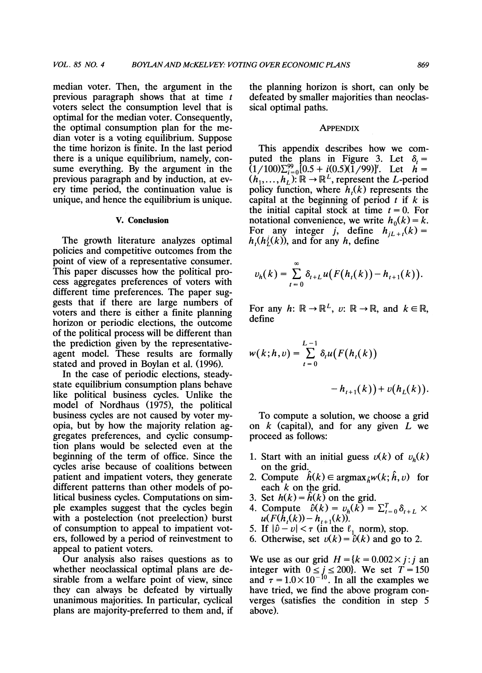**median voter. Then, the argument in the previous paragraph shows that at time t voters select the consumption level that is optimal for the median voter. Consequently, the optimal consumption plan for the median voter is a voting equilibrium. Suppose the time horizon is finite. In the last period there is a unique equilibrium, namely, consume everything. By the argument in the previous paragraph and by induction, at every time period, the continuation value is unique, and hence the equilibrium is unique.** 

#### **V. Conclusion**

**The growth literature analyzes optimal policies and competitive outcomes from the point of view of a representative consumer. This paper discusses how the political process aggregates preferences of voters with different time preferences. The paper suggests that if there are large numbers of voters and there is either a finite planning horizon or periodic elections, the outcome of the political process will be different than the prediction given by the representativeagent model. These results are formally stated and proved in Boylan et al. (1996).** 

**In the case of periodic elections, steadystate equilibrium consumption plans behave like political business cycles. Unlike the model of Nordhaus (1975), the political business cycles are not caused by voter myopia, but by how the majority relation aggregates preferences, and cyclic consumption plans would be selected even at the beginning of the term of office. Since the cycles arise because of coalitions between patient and impatient voters, they generate different patterns than other models of political business cycles. Computations on simple examples suggest that the cycles begin with a postelection (not preelection) burst of consumption to appeal to impatient voters, followed by a period of reinvestment to appeal to patient voters.** 

**Our analysis also raises questions as to whether neoclassical optimal plans are desirable from a welfare point of view, since they can always be defeated by virtually unanimous majorities. In particular, cyclical plans are majority-preferred to them and, if**  **the planning horizon is short, can only be defeated by smaller majorities than neoclassical optimal paths.** 

## **APPENDIX**

**This appendix describes how we com**puted the plans in Figure 3. Let  $\delta_t =$  $(1/100)\sum_{i=0}^{99} [0.5 + i(0.5)(1/99)]^t$ . Let  $h =$  $(h_1, \ldots, h_L)$ :  $\mathbb{R} \to \mathbb{R}^L$ , represent the L-period policy function, where  $h<sub>i</sub>(k)$  represents the capital at the beginning of period  $t$  if  $k$  is the initial capital stock at time  $t = 0$ . For notational convenience, we write  $h_0(k) = k$ . For any integer *j*, define  $h_{i}$ <sub> $i+1$ </sub> $(k)$  =  $h_t(h_t^j(k))$ , and for any h, define

$$
v_{h}(k) = \sum_{t=0}^{\infty} \delta_{t+L} u(F(h_{t}(k)) - h_{t+1}(k)).
$$

For any  $h: \mathbb{R} \to \mathbb{R}^L$ ,  $v: \mathbb{R} \to \mathbb{R}$ , and  $k \in \mathbb{R}$ , **define** 

$$
w(k; h, v) = \sum_{t=0}^{L-1} \delta_t u(F(h_t(k)) - h_{t+1}(k)) + v(h_L(k)).
$$

**To compute a solution, we choose a grid on k (capital), and for any given L we proceed as follows:** 

- **1.** Start with an initial guess  $v(k)$  of  $v<sub>h</sub>(k)$ **on the grid.**
- 2. Compute  $\hat{h}(k) \in \text{argmax}_{\hat{\mu}} w(k; \hat{h}, v)$  for **each k on the grid.**
- 3. Set  $h(k) = \hat{h}(k)$  on the grid.
- **4.** Compute  $\hat{v}(k) = v_h(k) = \sum_{t=0}^{T} \delta_{t+L} \times$  $u(F(h_t(k)) - h_{t+1}(k)).$
- **5.** If  $|\hat{v} v| < \tau$  (in the  $\ell_1$  norm), stop.
- 6. Otherwise, set  $v(k) = \hat{v}(k)$  and go to 2.

We use as our grid  $H = \{k = 0.002 \times j : j \text{ an}$ integer with  $0 \le j \le 200$ . We set  $T = 150$ and  $\tau = 1.0 \times 10^{-10}$ . In all the examples we **have tried, we find the above program converges (satisfies the condition in step 5 above).**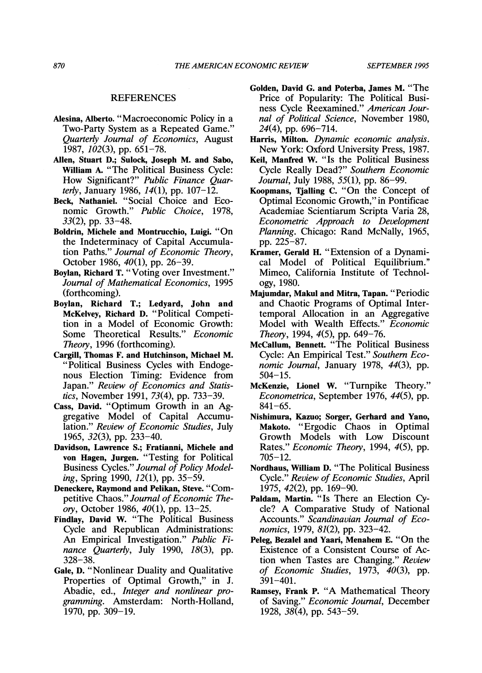## **REFERENCES**

- **Alesina, Alberto. "Macroeconomic Policy in a Two-Party System as a Repeated Game." Quarterly Journal of Economics, August 1987, 102(3), pp. 651-78.**
- **Allen, Stuart D.; Sulock, Joseph M. and Sabo, William A. "The Political Business Cycle: How Significant?" Public Finance Quarterly, January 1986, 14(1), pp. 107-12.**
- **Beck, Nathaniel. "Social Choice and Economic Growth." Public Choice, 1978, 33(2), pp. 33-48.**
- **Boldrin, Michele and Montrucchio, Luigi. "On the Indeterminacy of Capital Accumulation Paths." Joumal of Economic Theory, October 1986, 40(1), pp. 26-39.**
- **Boylan, Richard T. "Voting over Investment." Joumal of Mathematical Economics, 1995 (forthcoming).**
- **Boylan, Richard T.; Ledyard, John and McKelvey, Richard D. "Political Competition in a Model of Economic Growth: Some Theoretical Results." Economic Theory, 1996 (forthcoming).**
- **Cargill, Thomas F. and Hutchinson, Michael M. "Political Business Cycles with Endogenous Election Timing: Evidence from Japan." Review of Economics and Statistics, November 1991, 73(4), pp. 733-39.**
- **Cass, David. "Optimum Growth in an Aggregative Model of Capital Accumulation." Review of Economic Studies, July 1965, 32(3), pp. 233-40.**
- **Davidson, Lawrence S.; Fratianni, Michele and von Hagen, Jurgen. "Testing for Political Business Cycles." Joumal of Policy Modeling, Spring 1990, 12(1), pp. 35-59.**
- **Deneckere, Raymond and Pelikan, Steve. "Competitive Chaos." Joumal of Economic Theory, October 1986, 40(1), pp. 13-25.**
- **Findlay, David W. "The Political Business Cycle and Republican Administrations: An Empirical Investigation." Public Finance Quarterly, July 1990, 18(3), pp. 328-38.**
- **Gale, D. "Nonlinear Duality and Qualitative Properties of Optimal Growth," in J. Abadie, ed., Integer and nonlinear programming. Amsterdam: North-Holland, 1970, pp. 309-19.**
- **Golden, David G. and Poterba, James M. "The Price of Popularity: The Political Business Cycle Reexamined." American Journal of Political Science, November 1980, 24(4), pp. 696-714.**
- **Harris, Milton. Dynamic economic analysis. New York: Oxford University Press, 1987.**
- **Keil, Manfred W. "Is the Political Business Cycle Really Dead?" Southem Economic Joumal, July 1988, 55(1), pp. 86-99.**
- **Koopmans, Tjalling C. "On the Concept of Optimal Economic Growth," in Pontificae Academiae Scientiarum Scripta Varia 28, Econometric Approach to Development Planning. Chicago: Rand McNally, 1965, pp. 225-87.**
- **Kramer, Gerald H. "Extension of a Dynamical Model of Political Equilibrium." Mimeo, California Institute of Technology, 1980.**
- **Majumdar, Makul and Mitra, Tapan. "Periodic and Chaotic Programs of Optimal Intertemporal Allocation in an Aggregative Model with Wealth Effects." Economic Theory, 1994, 4(5), pp. 649-76.**
- **McCallum, Bennett. "The Political Business Cycle: An Empirical Test." Southem Economic Joumal, January 1978, 44(3), pp. 504-15.**
- **McKenzie, Lionel W. "Turnpike Theory." Econometrica, September 1976, 44(5), pp. 841-65.**
- **Nishimura, Kazuo; Sorger, Gerhard and Yano, Makoto. "Ergodic Chaos in Optimal Growth Models with Low Discount Rates." Economic Theory, 1994, 4(5), pp. 705-12.**
- **Nordhaus, William D. "The Political Business Cycle." Review of Economic Studies, April 1975, 42(2), pp. 169-90.**
- **Paldam, Martin. "Is There an Election Cycle? A Comparative Study of National Accounts." Scandinavian Joumal of Economics, 1979, 81(2), pp. 323-42.**
- **Peleg, Bezalel and Yaari, Menahem E. "On the Existence of a Consistent Course of Action when Tastes are Changing." Review of Economic Studies, 1973, 40(3), pp. 391-401.**
- **Ramsey, Frank P. "A Mathematical Theory of Saving." Economic Joumal, December 1928, 38(4), pp. 543-59.**